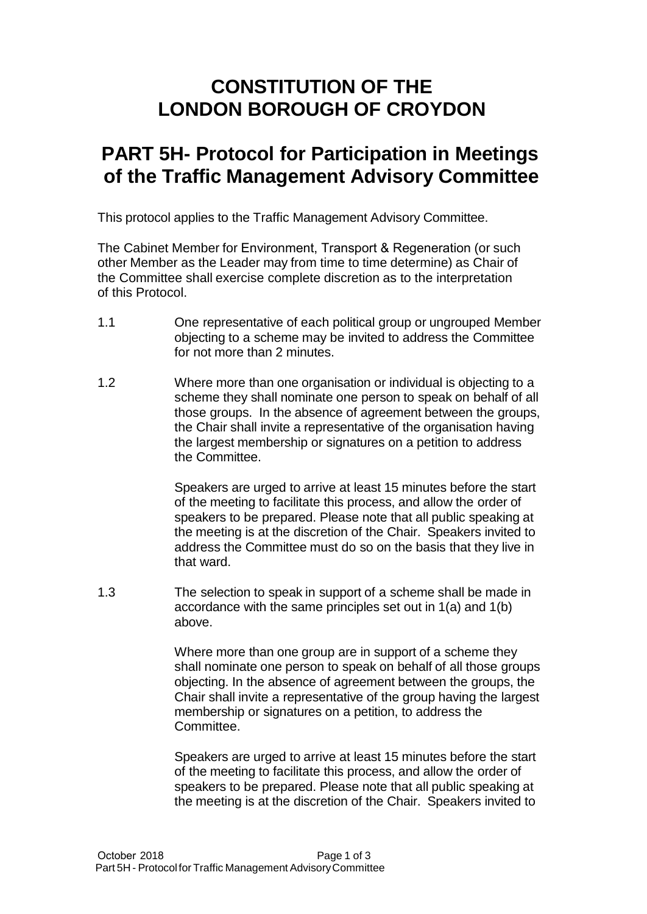## **CONSTITUTION OF THE LONDON BOROUGH OF CROYDON**

## **PART 5H- Protocol for Participation in Meetings of the Traffic Management Advisory Committee**

This protocol applies to the Traffic Management Advisory Committee.

The Cabinet Member for Environment, Transport & Regeneration (or such other Member as the Leader may from time to time determine) as Chair of the Committee shall exercise complete discretion as to the interpretation of this Protocol.

- 1.1 One representative of each political group or ungrouped Member objecting to a scheme may be invited to address the Committee for not more than 2 minutes.
- 1.2 Where more than one organisation or individual is objecting to a scheme they shall nominate one person to speak on behalf of all those groups. In the absence of agreement between the groups, the Chair shall invite a representative of the organisation having the largest membership or signatures on a petition to address the Committee.

Speakers are urged to arrive at least 15 minutes before the start of the meeting to facilitate this process, and allow the order of speakers to be prepared. Please note that all public speaking at the meeting is at the discretion of the Chair. Speakers invited to address the Committee must do so on the basis that they live in that ward.

1.3 The selection to speak in support of a scheme shall be made in accordance with the same principles set out in 1(a) and 1(b) above.

> Where more than one group are in support of a scheme they shall nominate one person to speak on behalf of all those groups objecting. In the absence of agreement between the groups, the Chair shall invite a representative of the group having the largest membership or signatures on a petition, to address the Committee.

Speakers are urged to arrive at least 15 minutes before the start of the meeting to facilitate this process, and allow the order of speakers to be prepared. Please note that all public speaking at the meeting is at the discretion of the Chair. Speakers invited to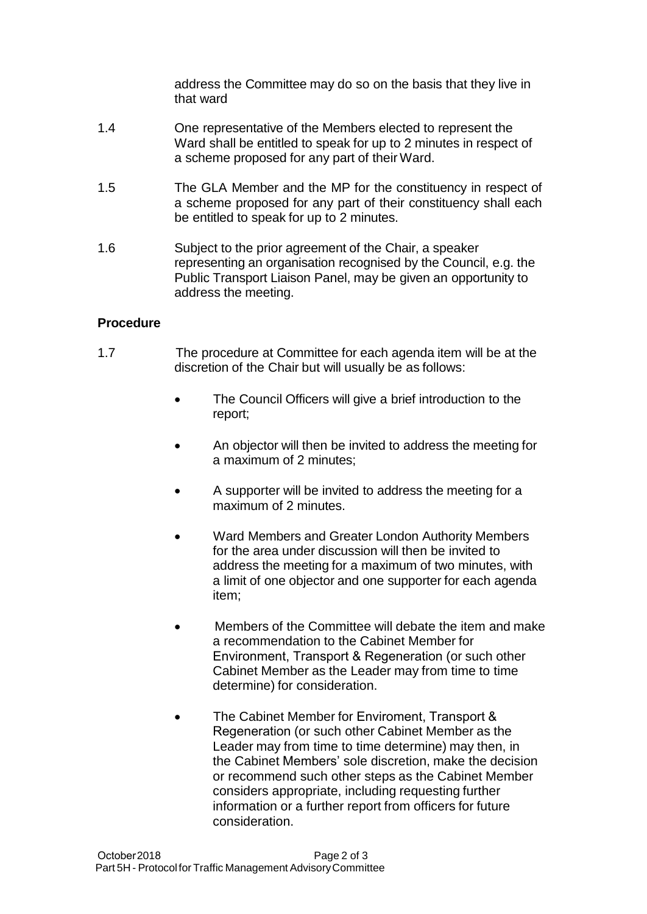address the Committee may do so on the basis that they live in that ward

- 1.4 One representative of the Members elected to represent the Ward shall be entitled to speak for up to 2 minutes in respect of a scheme proposed for any part of their Ward.
- 1.5 The GLA Member and the MP for the constituency in respect of a scheme proposed for any part of their constituency shall each be entitled to speak for up to 2 minutes.
- 1.6 Subject to the prior agreement of the Chair, a speaker representing an organisation recognised by the Council, e.g. the Public Transport Liaison Panel, may be given an opportunity to address the meeting.

## **Procedure**

- 1.7 The procedure at Committee for each agenda item will be at the discretion of the Chair but will usually be as follows:
	- The Council Officers will give a brief introduction to the report;
	- An objector will then be invited to address the meeting for a maximum of 2 minutes;
	- A supporter will be invited to address the meeting for a maximum of 2 minutes.
	- Ward Members and Greater London Authority Members for the area under discussion will then be invited to address the meeting for a maximum of two minutes, with a limit of one objector and one supporter for each agenda item;
	- Members of the Committee will debate the item and make a recommendation to the Cabinet Member for Environment, Transport & Regeneration (or such other Cabinet Member as the Leader may from time to time determine) for consideration.
	- The Cabinet Member for Enviroment, Transport & Regeneration (or such other Cabinet Member as the Leader may from time to time determine) may then, in the Cabinet Members' sole discretion, make the decision or recommend such other steps as the Cabinet Member considers appropriate, including requesting further information or a further report from officers for future consideration.